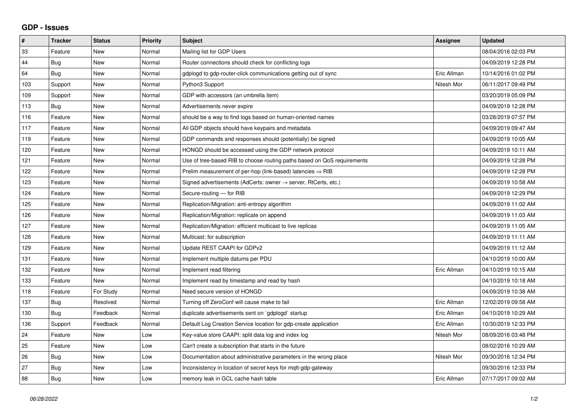## **GDP - Issues**

| $\vert$ # | <b>Tracker</b> | <b>Status</b> | <b>Priority</b> | <b>Subject</b>                                                             | Assignee    | <b>Updated</b>      |
|-----------|----------------|---------------|-----------------|----------------------------------------------------------------------------|-------------|---------------------|
| 33        | Feature        | New           | Normal          | Mailing list for GDP Users                                                 |             | 08/04/2016 02:03 PM |
| 44        | <b>Bug</b>     | <b>New</b>    | Normal          | Router connections should check for conflicting logs                       |             | 04/09/2019 12:28 PM |
| 64        | Bug            | <b>New</b>    | Normal          | gdplogd to gdp-router-click communications getting out of sync             | Eric Allman | 10/14/2016 01:02 PM |
| 103       | Support        | <b>New</b>    | Normal          | Python3 Support                                                            | Nitesh Mor  | 06/11/2017 09:49 PM |
| 109       | Support        | <b>New</b>    | Normal          | GDP with accessors (an umbrella item)                                      |             | 03/20/2019 05:09 PM |
| 113       | <b>Bug</b>     | <b>New</b>    | Normal          | Advertisements never expire                                                |             | 04/09/2019 12:28 PM |
| 116       | Feature        | <b>New</b>    | Normal          | should be a way to find logs based on human-oriented names                 |             | 03/28/2019 07:57 PM |
| 117       | Feature        | <b>New</b>    | Normal          | All GDP objects should have keypairs and metadata                          |             | 04/09/2019 09:47 AM |
| 119       | Feature        | <b>New</b>    | Normal          | GDP commands and responses should (potentially) be signed                  |             | 04/09/2019 10:05 AM |
| 120       | Feature        | <b>New</b>    | Normal          | HONGD should be accessed using the GDP network protocol                    |             | 04/09/2019 10:11 AM |
| 121       | Feature        | New           | Normal          | Use of tree-based RIB to choose routing paths based on QoS requirements    |             | 04/09/2019 12:28 PM |
| 122       | Feature        | <b>New</b>    | Normal          | Prelim measurement of per-hop (link-based) latencies $\Rightarrow$ RIB     |             | 04/09/2019 12:28 PM |
| 123       | Feature        | New           | Normal          | Signed advertisements (AdCerts: owner $\rightarrow$ server, RtCerts, etc.) |             | 04/09/2019 10:58 AM |
| 124       | Feature        | <b>New</b>    | Normal          | Secure-routing - for RIB                                                   |             | 04/09/2019 12:29 PM |
| 125       | Feature        | <b>New</b>    | Normal          | Replication/Migration: anti-entropy algorithm                              |             | 04/09/2019 11:02 AM |
| 126       | Feature        | <b>New</b>    | Normal          | Replication/Migration: replicate on append                                 |             | 04/09/2019 11:03 AM |
| 127       | Feature        | <b>New</b>    | Normal          | Replication/Migration: efficient multicast to live replicas                |             | 04/09/2019 11:05 AM |
| 128       | Feature        | New           | Normal          | Multicast: for subscription                                                |             | 04/09/2019 11:11 AM |
| 129       | Feature        | <b>New</b>    | Normal          | Update REST CAAPI for GDPv2                                                |             | 04/09/2019 11:12 AM |
| 131       | Feature        | <b>New</b>    | Normal          | Implement multiple datums per PDU                                          |             | 04/10/2019 10:00 AM |
| 132       | Feature        | <b>New</b>    | Normal          | Implement read filtering                                                   | Eric Allman | 04/10/2019 10:15 AM |
| 133       | Feature        | <b>New</b>    | Normal          | Implement read by timestamp and read by hash                               |             | 04/10/2019 10:18 AM |
| 118       | Feature        | For Study     | Normal          | Need secure version of HONGD                                               |             | 04/09/2019 10:38 AM |
| 137       | Bug            | Resolved      | Normal          | Turning off ZeroConf will cause make to fail                               | Eric Allman | 12/02/2019 09:58 AM |
| 130       | Bug            | Feedback      | Normal          | duplicate advertisements sent on `gdplogd` startup                         | Eric Allman | 04/10/2019 10:29 AM |
| 136       | Support        | Feedback      | Normal          | Default Log Creation Service location for gdp-create application           | Eric Allman | 10/30/2019 12:33 PM |
| 24        | Feature        | <b>New</b>    | Low             | Key-value store CAAPI: split data log and index log                        | Nitesh Mor  | 08/09/2016 03:48 PM |
| 25        | Feature        | New           | Low             | Can't create a subscription that starts in the future                      |             | 08/02/2016 10:29 AM |
| 26        | <b>Bug</b>     | New           | Low             | Documentation about administrative parameters in the wrong place           | Nitesh Mor  | 09/30/2016 12:34 PM |
| 27        | Bug            | New           | Low             | Inconsistency in location of secret keys for mgtt-gdp-gateway              |             | 09/30/2016 12:33 PM |
| 88        | Bug            | New           | Low             | memory leak in GCL cache hash table                                        | Eric Allman | 07/17/2017 09:02 AM |